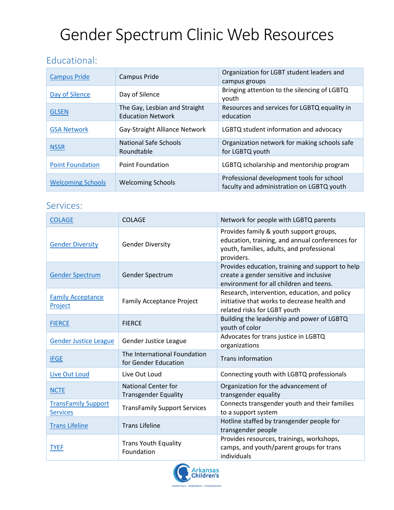# Gender Spectrum Clinic Web Resources

#### Educational:

| <b>Campus Pride</b>      | Campus Pride                                              | Organization for LGBT student leaders and<br>campus groups                             |
|--------------------------|-----------------------------------------------------------|----------------------------------------------------------------------------------------|
| Day of Silence           | Day of Silence                                            | Bringing attention to the silencing of LGBTQ<br>youth                                  |
| <b>GLSEN</b>             | The Gay, Lesbian and Straight<br><b>Education Network</b> | Resources and services for LGBTQ equality in<br>education                              |
| <b>GSA Network</b>       | Gay-Straight Alliance Network                             | LGBTQ student information and advocacy                                                 |
| <b>NSSR</b>              | National Safe Schools<br>Roundtable                       | Organization network for making schools safe<br>for LGBTQ youth                        |
| <b>Point Foundation</b>  | <b>Point Foundation</b>                                   | LGBTQ scholarship and mentorship program                                               |
| <b>Welcoming Schools</b> | <b>Welcoming Schools</b>                                  | Professional development tools for school<br>faculty and administration on LGBTQ youth |

#### Services:

| <b>COLAGE</b>                                 | <b>COLAGE</b>                                             | Network for people with LGBTQ parents                                                                                                                 |
|-----------------------------------------------|-----------------------------------------------------------|-------------------------------------------------------------------------------------------------------------------------------------------------------|
| <b>Gender Diversity</b>                       | <b>Gender Diversity</b>                                   | Provides family & youth support groups,<br>education, training, and annual conferences for<br>youth, families, adults, and professional<br>providers. |
| <b>Gender Spectrum</b>                        | Gender Spectrum                                           | Provides education, training and support to help<br>create a gender sensitive and inclusive<br>environment for all children and teens.                |
| <b>Family Acceptance</b><br>Project           | <b>Family Acceptance Project</b>                          | Research, intervention, education, and policy<br>initiative that works to decrease health and<br>related risks for LGBT youth                         |
| <b>FIERCE</b>                                 | <b>FIERCE</b>                                             | Building the leadership and power of LGBTQ<br>youth of color                                                                                          |
| <b>Gender Justice League</b>                  | Gender Justice League                                     | Advocates for trans justice in LGBTQ<br>organizations                                                                                                 |
| <b>IFGE</b>                                   | The International Foundation<br>for Gender Education      | <b>Trans information</b>                                                                                                                              |
| Live Out Loud                                 | Live Out Loud                                             | Connecting youth with LGBTQ professionals                                                                                                             |
| <b>NCTE</b>                                   | <b>National Center for</b><br><b>Transgender Equality</b> | Organization for the advancement of<br>transgender equality                                                                                           |
| <b>TransFamily Support</b><br><b>Services</b> | <b>TransFamily Support Services</b>                       | Connects transgender youth and their families<br>to a support system                                                                                  |
| <b>Trans Lifeline</b>                         | <b>Trans Lifeline</b>                                     | Hotline staffed by transgender people for<br>transgender people                                                                                       |
| <b>TYEF</b>                                   | <b>Trans Youth Equality</b><br>Foundation                 | Provides resources, trainings, workshops,<br>camps, and youth/parent groups for trans<br>individuals                                                  |

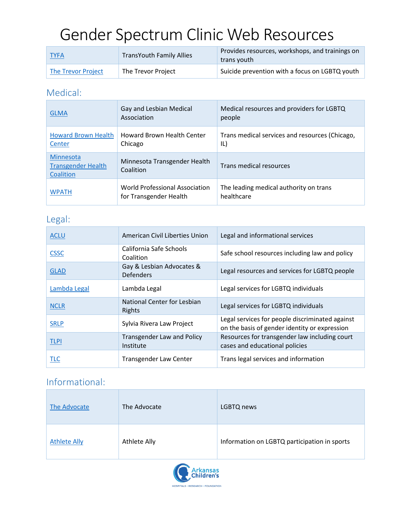## Gender Spectrum Clinic Web Resources

| <b>TYFA</b>        | <b>TransYouth Family Allies</b> | Provides resources, workshops, and trainings on<br>trans youth |
|--------------------|---------------------------------|----------------------------------------------------------------|
| The Trevor Project | The Trevor Project              | Suicide prevention with a focus on LGBTQ youth                 |

#### Medical:

| <b>GLMA</b>                                         | Gay and Lesbian Medical<br>Association                   | Medical resources and providers for LGBTQ<br>people   |
|-----------------------------------------------------|----------------------------------------------------------|-------------------------------------------------------|
| <b>Howard Brown Health</b><br>Center                | <b>Howard Brown Health Center</b><br>Chicago             | Trans medical services and resources (Chicago,<br>IL) |
| Minnesota<br><b>Transgender Health</b><br>Coalition | Minnesota Transgender Health<br>Coalition                | Trans medical resources                               |
| <b>WPATH</b>                                        | World Professional Association<br>for Transgender Health | The leading medical authority on trans<br>healthcare  |

#### Legal:

| <b>ACLU</b>  | American Civil Liberties Union                 | Legal and informational services                                                                 |
|--------------|------------------------------------------------|--------------------------------------------------------------------------------------------------|
| <b>CSSC</b>  | California Safe Schools<br>Coalition           | Safe school resources including law and policy                                                   |
| <b>GLAD</b>  | Gay & Lesbian Advocates &<br><b>Defenders</b>  | Legal resources and services for LGBTQ people                                                    |
| Lambda Legal | Lambda Legal                                   | Legal services for LGBTQ individuals                                                             |
| <b>NCLR</b>  | National Center for Lesbian<br>Rights          | Legal services for LGBTQ individuals                                                             |
| <b>SRLP</b>  | Sylvia Rivera Law Project                      | Legal services for people discriminated against<br>on the basis of gender identity or expression |
| <b>TLPI</b>  | <b>Transgender Law and Policy</b><br>Institute | Resources for transgender law including court<br>cases and educational policies                  |
| <b>TLC</b>   | Transgender Law Center                         | Trans legal services and information                                                             |

### Informational:

| The Advocate        | The Advocate | LGBTQ news                                   |
|---------------------|--------------|----------------------------------------------|
| <b>Athlete Ally</b> | Athlete Ally | Information on LGBTQ participation in sports |